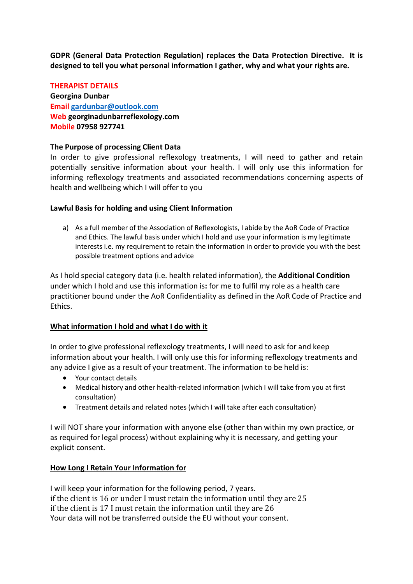**GDPR (General Data Protection Regulation) replaces the Data Protection Directive. It is designed to tell you what personal information I gather, why and what your rights are.**

# **THERAPIST DETAILS Georgina Dunbar Email gardunbar@outlook.com Web georginadunbarreflexology.com Mobile 07958 927741**

#### **The Purpose of processing Client Data**

In order to give professional reflexology treatments, I will need to gather and retain potentially sensitive information about your health. I will only use this information for informing reflexology treatments and associated recommendations concerning aspects of health and wellbeing which I will offer to you

#### **Lawful Basis for holding and using Client Information**

a) As a full member of the Association of Reflexologists, I abide by the AoR Code of Practice and Ethics. The lawful basis under which I hold and use your information is my legitimate interests i.e. my requirement to retain the information in order to provide you with the best possible treatment options and advice

As I hold special category data (i.e. health related information), the **Additional Condition**  under which I hold and use this information is**:** for me to fulfil my role as a health care practitioner bound under the AoR Confidentiality as defined in the AoR Code of Practice and Ethics.

#### **What information I hold and what I do with it**

In order to give professional reflexology treatments, I will need to ask for and keep information about your health. I will only use this for informing reflexology treatments and any advice I give as a result of your treatment. The information to be held is:

- Your contact details
- Medical history and other health-related information (which I will take from you at first consultation)
- Treatment details and related notes (which I will take after each consultation)

I will NOT share your information with anyone else (other than within my own practice, or as required for legal process) without explaining why it is necessary, and getting your explicit consent.

#### **How Long I Retain Your Information for**

I will keep your information for the following period, 7 years. if the client is 16 or under I must retain the information until they are 25 if the client is 17 I must retain the information until they are 26 Your data will not be transferred outside the EU without your consent.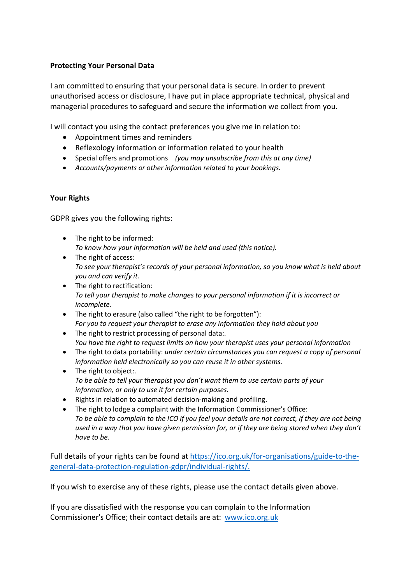# **Protecting Your Personal Data**

I am committed to ensuring that your personal data is secure. In order to prevent unauthorised access or disclosure, I have put in place appropriate technical, physical and managerial procedures to safeguard and secure the information we collect from you.

I will contact you using the contact preferences you give me in relation to:

- Appointment times and reminders
- Reflexology information or information related to your health
- Special offers and promotions *(you may unsubscribe from this at any time)*
- *Accounts/payments or other information related to your bookings.*

## **Your Rights**

GDPR gives you the following rights:

- The right to be informed: *To know how your information will be held and used (this notice).*
- The right of access: *To see your therapist's records of your personal information, so you know what is held about you and can verify it.*
- The right to rectification: *To tell your therapist to make changes to your personal information if it is incorrect or incomplete.*
- The right to erasure (also called "the right to be forgotten"): *For you to request your therapist to erase any information they hold about you*
- The right to restrict processing of personal data:. *You have the right to request limits on how your therapist uses your personal information*
- The right to data portability: *under certain circumstances you can request a copy of personal information held electronically so you can reuse it in other systems.*
- The right to object:. *To be able to tell your therapist you don't want them to use certain parts of your information, or only to use it for certain purposes.*
- Rights in relation to automated decision-making and profiling.
- The right to lodge a complaint with the Information Commissioner's Office: *To be able to complain to the ICO if you feel your details are not correct, if they are not being used in a way that you have given permission for, or if they are being stored when they don't have to be.*

Full details of your rights can be found at https://ico.org.uk/for-organisations/guide-to-thegeneral-data-protection-regulation-gdpr/individual-rights/.

If you wish to exercise any of these rights, please use the contact details given above.

If you are dissatisfied with the response you can complain to the Information Commissioner's Office; their contact details are at: www.ico.org.uk